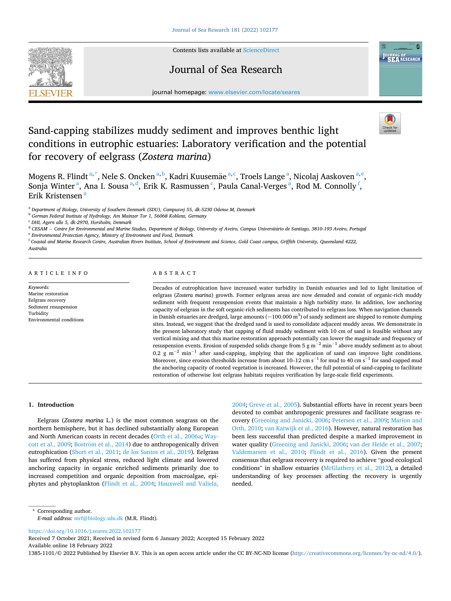

# Contents lists available at [ScienceDirect](www.sciencedirect.com/science/journal/13851101)

# Journal of Sea Research



journal homepage: [www.elsevier.com/locate/seares](https://www.elsevier.com/locate/seares)

# Sand-capping stabilizes muddy sediment and improves benthic light conditions in eutrophic estuaries: Laboratory verification and the potential for recovery of eelgrass (*Zostera marina*)

Mogens R. Flindt <sup>a, \*</sup>, Nele S. Oncken <sup>a, b</sup>, Kadri Kuusemäe <sup>a, c</sup>, Troels Lange <sup>a</sup>, Nicolaj Aaskoven <sup>a, e</sup>, Sonja Winter<sup>a</sup>, Ana I. Sousa<sup>a,d</sup>, Erik K. Rasmussen<sup>c</sup>, Paula Canal-Verges<sup>a</sup>, Rod M. Connolly<sup>f</sup>, Erik Kristensen<sup>a</sup>

<sup>a</sup> *Department of Biology, University of Southern Denmark (SDU), Campusvej 55, dk-5230 Odense M, Denmark* 

<sup>b</sup> *German Federal Institute of Hydrology, Am Mainzer Tor 1, 56068 Koblenz, Germany* 

<sup>c</sup> *DHI, Agern alle 5, dk-2970, Hørsholm, Denmark* 

<sup>d</sup> *CESAM* − *Centre for Environmental and Marine Studies, Department of Biology, University of Aveiro, Campus Universitario* ´ *de Santiago, 3810-193 Aveiro, Portugal* 

<sup>e</sup> *Environmental Protection Agency, Ministry of Environment and Food, Denmark* 

<sup>f</sup> *Coastal and Marine Research Centre, Australian Rivers Institute, School of Environment and Science, Gold Coast campus, Griffith University, Queensland 4222,* 

*Australia* 

#### ARTICLE INFO

*Keywords:*  Marine restoration Eelgrass recovery Sediment resuspension Turbidity Environmental conditions

# ABSTRACT

Decades of eutrophication have increased water turbidity in Danish estuaries and led to light limitation of eelgrass (*Zostera marina*) growth. Former eelgrass areas are now denuded and consist of organic-rich muddy sediment with frequent resuspension events that maintain a high turbidity state. In addition, low anchoring capacity of eelgrass in the soft organic-rich sediments has contributed to eelgrass loss. When navigation channels in Danish estuaries are dredged, large amounts ( $\sim$ 100.000 m $^3$ ) of sandy sediment are shipped to remote dumping sites. Instead, we suggest that the dredged sand is used to consolidate adjacent muddy areas. We demonstrate in the present laboratory study that capping of fluid muddy sediment with 10 cm of sand is feasible without any vertical mixing and that this marine restoration approach potentially can lower the magnitude and frequency of resuspension events. Erosion of suspended solids change from 5 g m<sup>-2</sup> min<sup>-1</sup> above muddy sediment as to about 0.2 g m<sup>-2</sup> min<sup>-1</sup> after sand-capping, implying that the application of sand can improve light conditions. Moreover, since erosion thresholds increase from about 10–12 cm s<sup>-1</sup> for mud to 40 cm s<sup>-1</sup> for sand-capped mud the anchoring capacity of rooted vegetation is increased. However, the full potential of sand-capping to facilitate restoration of otherwise lost eelgrass habitats requires verification by large-scale field experiments.

# **1. Introduction**

Eelgrass (*Zostera marina* L.) is the most common seagrass on the northern hemisphere, but it has declined substantially along European and North American coasts in recent decades ([Orth et al., 2006a; Way](#page-7-0)[cott et al., 2009;](#page-7-0) Boström [et al., 2014\)](#page-6-0) due to anthropogenically driven eutrophication [\(Short et al., 2011](#page-7-0); [de los Santos et al., 2019](#page-6-0)). Eelgrass has suffered from physical stress, reduced light climate and lowered anchoring capacity in organic enriched sediments primarily due to increased competition and organic deposition from macroalgae, epiphytes and phytoplankton ([Flindt et al., 2004;](#page-6-0) [Hauxwell and Valiela,](#page-6-0)  [2004; Greve et al., 2005\)](#page-6-0). Substantial efforts have in recent years been devoted to combat anthropogenic pressures and facilitate seagrass recovery ([Greening and Janicki, 2006;](#page-6-0) [Petersen et al., 2009;](#page-7-0) [Marion and](#page-7-0)  [Orth, 2010](#page-7-0); [van Katwijk et al., 2016](#page-7-0)). However, natural restoration has been less successful than predicted despite a marked improvement in water quality [\(Greening and Janicki, 2006;](#page-6-0) [van der Heide et al., 2007](#page-7-0); [Valdemarsen et al., 2010](#page-7-0); [Flindt et al., 2016](#page-6-0)). Given the present consensus that eelgrass recovery is required to achieve "good ecological conditions" in shallow estuaries ([McGlathery et al., 2012\)](#page-7-0), a detailed understanding of key processes affecting the recovery is urgently needed.

<https://doi.org/10.1016/j.seares.2022.102177>

Available online 18 February 2022 Received 7 October 2021; Received in revised form 6 January 2022; Accepted 15 February 2022

1385-1101/© 2022 Published by Elsevier B.V. This is an open access article under the CC BY-NC-ND license [\(http://creativecommons.org/licenses/by-nc-nd/4.0/\)](http://creativecommons.org/licenses/by-nc-nd/4.0/).

<sup>\*</sup> Corresponding author. *E-mail address:* [mrf@biology.sdu.dk](mailto:mrf@biology.sdu.dk) (M.R. Flindt).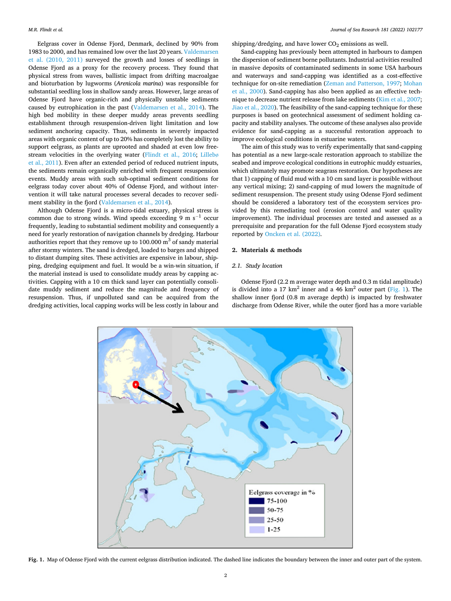<span id="page-1-0"></span>Eelgrass cover in Odense Fjord, Denmark, declined by 90% from 1983 to 2000, and has remained low over the last 20 years. [Valdemarsen](#page-7-0)  [et al. \(2010, 2011\)](#page-7-0) surveyed the growth and losses of seedlings in Odense Fjord as a proxy for the recovery process. They found that physical stress from waves, ballistic impact from drifting macroalgae and bioturbation by lugworms (*Arenicola marina*) was responsible for substantial seedling loss in shallow sandy areas. However, large areas of Odense Fjord have organic-rich and physically unstable sediments caused by eutrophication in the past [\(Valdemarsen et al., 2014\)](#page-7-0). The high bed mobility in these deeper muddy areas prevents seedling establishment through resuspension-driven light limitation and low sediment anchoring capacity. Thus, sediments in severely impacted areas with organic content of up to 20% has completely lost the ability to support eelgrass, as plants are uprooted and shaded at even low freestream velocities in the overlying water [\(Flindt et al., 2016](#page-6-0); [Lilleb](#page-7-0)ø [et al., 2011\)](#page-7-0). Even after an extended period of reduced nutrient inputs, the sediments remain organically enriched with frequent resuspension events. Muddy areas with such sub-optimal sediment conditions for eelgrass today cover about 40% of Odense Fjord, and without intervention it will take natural processes several decades to recover sediment stability in the fjord ([Valdemarsen et al., 2014](#page-7-0)).

Although Odense Fjord is a micro-tidal estuary, physical stress is common due to strong winds. Wind speeds exceeding 9 m  $s^{-1}$  occur frequently, leading to substantial sediment mobility and consequently a need for yearly restoration of navigation channels by dredging. Harbour authorities report that they remove up to  $100.000 \text{ m}^3$  of sandy material after stormy winters. The sand is dredged, loaded to barges and shipped to distant dumping sites. These activities are expensive in labour, shipping, dredging equipment and fuel. It would be a win-win situation, if the material instead is used to consolidate muddy areas by capping activities. Capping with a 10 cm thick sand layer can potentially consolidate muddy sediment and reduce the magnitude and frequency of resuspension. Thus, if unpolluted sand can be acquired from the dredging activities, local capping works will be less costly in labour and shipping/dredging, and have lower  $CO<sub>2</sub>$  emissions as well.

Sand-capping has previously been attempted in harbours to dampen the dispersion of sediment borne pollutants. Industrial activities resulted in massive deposits of contaminated sediments in some USA harbours and waterways and sand-capping was identified as a cost-effective technique for on-site remediation ([Zeman and Patterson, 1997](#page-7-0); [Mohan](#page-7-0)  [et al., 2000\)](#page-7-0). Sand-capping has also been applied as an effective technique to decrease nutrient release from lake sediments [\(Kim et al., 2007](#page-7-0); [Jiao et al., 2020](#page-6-0)). The feasibility of the sand-capping technique for these purposes is based on geotechnical assessment of sediment holding capacity and stability analyses. The outcome of these analyses also provide evidence for sand-capping as a successful restoration approach to improve ecological conditions in estuarine waters.

The aim of this study was to verify experimentally that sand-capping has potential as a new large-scale restoration approach to stabilize the seabed and improve ecological conditions in eutrophic muddy estuaries, which ultimately may promote seagrass restoration. Our hypotheses are that 1) capping of fluid mud with a 10 cm sand layer is possible without any vertical mixing; 2) sand-capping of mud lowers the magnitude of sediment resuspension. The present study using Odense Fjord sediment should be considered a laboratory test of the ecosystem services provided by this remediating tool (erosion control and water quality improvement). The individual processes are tested and assessed as a prerequisite and preparation for the full Odense Fjord ecosystem study reported by [Oncken et al. \(2022\)](#page-7-0).

# **2. Materials & methods**

#### *2.1. Study location*

Odense Fjord (2.2 m average water depth and 0.3 m tidal amplitude) is divided into a 17 km<sup>2</sup> inner and a 46 km<sup>2</sup> outer part (Fig. 1). The shallow inner fjord (0.8 m average depth) is impacted by freshwater discharge from Odense River, while the outer fjord has a more variable



**Fig. 1.** Map of Odense Fjord with the current eelgrass distribution indicated. The dashed line indicates the boundary between the inner and outer part of the system.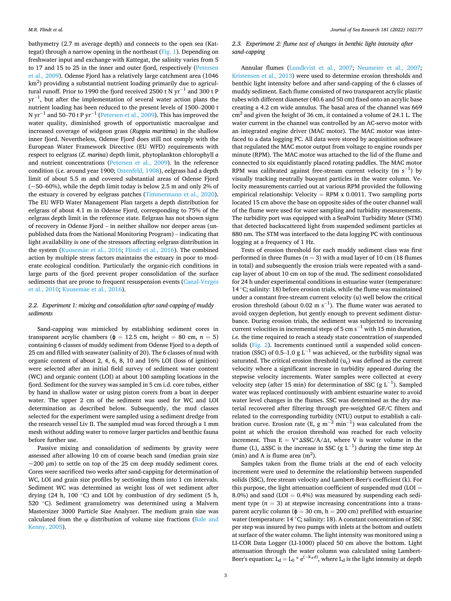bathymetry (2.7 m average depth) and connects to the open sea (Kattegat) through a narrow opening in the northeast [\(Fig. 1\)](#page-1-0). Depending on freshwater input and exchange with Kattegat, the salinity varies from 5 to 17 and 15 to 25 in the inner and outer fjord, respectively ([Petersen](#page-7-0)  [et al., 2009\)](#page-7-0). Odense Fjord has a relatively large catchment area (1046  $\rm km^2$ ) providing a substantial nutrient loading primarily due to agricultural runoff. Prior to 1990 the fjord received 2500 t N yr<sup>-1</sup> and 300 t P yr<sup>-1</sup>, but after the implementation of several water action plans the nutrient loading has been reduced to the present levels of 1500–2000 t N yr<sup>-1</sup> and 50–70 t P yr<sup>-1</sup> ([Petersen et al., 2009](#page-7-0)). This has improved the water quality, diminished growth of opportunistic macroalgae and increased coverage of widgeon grass (*Ruppia maritima*) in the shallow inner fjord. Nevertheless, Odense Fjord does still not comply with the European Water Framework Directive (EU WFD) requirements with respect to eelgrass (*Z. marina*) depth limit, phytoplankton chlorophyll *a*  and nutrient concentrations ([Petersen et al., 2009](#page-7-0)). In the reference condition (*i.e.* around year 1900; [Ostenfeld, 1908](#page-7-0)), eelgrass had a depth limit of about 5.5 m and covered substantial areas of Odense Fjord  $(-50-60%)$ , while the depth limit today is below 2.5 m and only 2% of the estuary is covered by eelgrass patches [\(Timmermann et al., 2020](#page-7-0)). The EU WFD Water Management Plan targets a depth distribution for eelgrass of about 4.1 m in Odense Fjord, corresponding to 75% of the eelgrass depth limit in the reference state. Eelgrass has not shown signs of recovery in Odense Fjord – in neither shallow nor deeper areas (unpublished data from the National Monitoring Program) – indicating that light availability is one of the stressors affecting eelgrass distribution in the system (Kuusemäe [et al., 2016;](#page-7-0) [Flindt et al., 2016](#page-6-0)). The combined action by multiple stress factors maintains the estuary in poor to moderate ecological condition. Particularly the organic-rich conditions in large parts of the fjord prevent proper consolidation of the surface sediments that are prone to frequent resuspension events ([Canal-Verg](#page-6-0)és [et al., 2010;](#page-6-0) Kuusemäe et al., 2016).

# *2.2. Experiment 1: mixing and consolidation after sand-capping of muddy sediments*

Sand-capping was mimicked by establishing sediment cores in transparent acrylic chambers ( $\phi = 12.5$  cm, height = 80 cm,  $n = 5$ ) containing 6 classes of muddy sediment from Odense Fjord to a depth of 25 cm and filled with seawater (salinity of 20). The 6 classes of mud with organic content of about 2, 4, 6, 8, 10 and 16% LOI (loss of ignition) were selected after an initial field survey of sediment water content (WC) and organic content (LOI) at about 100 sampling locations in the fjord. Sediment for the survey was sampled in 5 cm i.d. core tubes, either by hand in shallow water or using piston corers from a boat in deeper water. The upper 2 cm of the sediment was used for WC and LOI determination as described below. Subsequently, the mud classes selected for the experiment were sampled using a sediment dredge from the research vessel Liv II. The sampled mud was forced through a 1 mm mesh without adding water to remove larger particles and benthic fauna before further use.

Passive mixing and consolidation of sediments by gravity were assessed after allowing 10 cm of coarse beach sand (median grain size  $\sim$ 200  $\mu$ m) to settle on top of the 25 cm deep muddy sediment cores. Cores were sacrificed two weeks after sand-capping for determination of WC, LOI and grain size profiles by sectioning them into 1 cm intervals. Sediment WC was determined as weight loss of wet sediment after drying (24 h, 100 ◦C) and LOI by combustion of dry sediment (5 h, 520 ◦C). Sediment granulometry was determined using a Malvern Mastersizer 3000 Particle Size Analyzer. The medium grain size was calculated from the  $\varphi$  distribution of volume size fractions (Bale and [Kenny, 2005](#page-6-0)).

# *2.3. Experiment 2: flume test of changes in benthic light intensity after sand-capping*

Annular flumes [\(Lundkvist et al., 2007;](#page-7-0) [Neumeier et al., 2007](#page-7-0); [Kristensen et al., 2013\)](#page-7-0) were used to determine erosion thresholds and benthic light intensity before and after sand-capping of the 6 classes of muddy sediment. Each flume consisted of two transparent acrylic plastic tubes with different diameter (40.6 and 50 cm) fixed onto an acrylic base creating a 4.2 cm wide annulus. The basal area of the channel was 669  $\text{cm}^2$  and given the height of 36 cm, it contained a volume of 24.1 L. The water current in the channel was controlled by an AC-servo motor with an integrated engine driver (MAC motor). The MAC motor was interfaced to a data logging PC. All data were stored by acquisition software that regulated the MAC motor output from voltage to engine rounds per minute (RPM). The MAC motor was attached to the lid of the flume and connected to six equidistantly placed rotating paddles. The MAC motor RPM was calibrated against free-stream current velocity (m  $s^{-1}$ ) by visually tracking neutrally buoyant particles in the water column. Velocity measurements carried out at various RPM provided the following empirical relationship: Velocity = RPM x  $0.0011$ . Two sampling ports located 15 cm above the base on opposite sides of the outer channel wall of the flume were used for water sampling and turbidity measurements. The turbidity port was equipped with a SeaPoint Turbidity Meter (STM) that detected backscattered light from suspended sediment particles at 880 nm. The STM was interfaced to the data logging PC with continuous logging at a frequency of 1 Hz.

Tests of erosion threshold for each muddy sediment class was first performed in three flumes ( $n = 3$ ) with a mud layer of 10 cm (18 flumes in total) and subsequently the erosion trials were repeated with a sandcap layer of about 10 cm on top of the mud. The sediment consolidated for 24 h under experimental conditions in estuarine water (temperature: 14 ◦C; salinity: 18) before erosion trials, while the flume was maintained under a constant free-stream current velocity (u) well below the critical erosion threshold (about 0.02 m  $s^{-1}$ ). The flume water was aerated to avoid oxygen depletion, but gently enough to prevent sediment disturbance. During erosion trials, the sediment was subjected to increasing current velocities in incremental steps of 5 cm  $s^{-1}$  with 15 min duration, *i.e.* the time required to reach a steady state concentration of suspended solids ([Fig. 2\)](#page-3-0). Increments continued until a suspended solid concentration (SSC) of 0.5–1.0 g L<sup>-1</sup> was achieved, or the turbidity signal was saturated. The critical erosion threshold  $(u_c)$  was defined as the current velocity where a significant increase in turbidity appeared during the stepwise velocity increments. Water samples were collected at every velocity step (after 15 min) for determination of SSC (g  $L^{-1}$ ). Sampled water was replaced continuously with ambient estuarine water to avoid water level changes in the flumes. SSC was determined as the dry material recovered after filtering through pre-weighted GF/C filters and related to the corresponding turbidity (NTU) output to establish a calibration curve. Erosion rate (E, g m<sup>-2</sup> min<sup>-1</sup>) was calculated from the point at which the erosion threshold was reached for each velocity increment. Thus  $E = V^* \Delta SSC/A/\Delta t$ , where V is water volume in the flume (L),  $\triangle SSC$  is the increase in SSC (g L<sup>-1</sup>) during the time step  $\triangle t$ (min) and A is flume area  $(m<sup>2</sup>)$ .

Samples taken from the flume trials at the end of each velocity increment were used to determine the relationship between suspended solids (SSC), free stream velocity and Lambert-Beer's coefficient (k). For this purpose, the light attenuation coefficient of suspended mud  $(LOI =$ 8.0%) and sand (LOI  $= 0.4$ %) was measured by suspending each sediment type  $(n = 3)$  at stepwise increasing concentrations into a transparent acrylic column ( $\phi = 30$  cm,  $h = 200$  cm) prefilled with estuarine water (temperature: 14 ℃; salinity: 18). A constant concentration of SSC per step was insured by two pumps with inlets at the bottom and outlets at surface of the water column. The light intensity was monitored using a LI-COR Data Logger (LI-1000) placed 50 cm above the bottom. Light attenuation through the water column was calculated using Lambert-Beer's equation:  $L_d = L_0 * e^{(-k_{\ast}d)}$ , where  $L_d$  is the light intensity at depth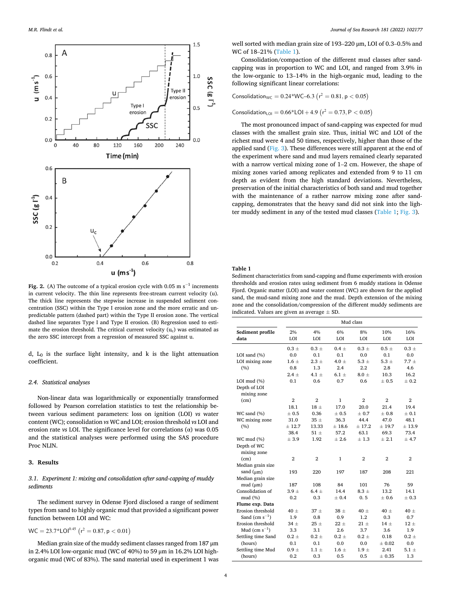<span id="page-3-0"></span>

**Fig. 2.** (A) The outcome of a typical erosion cycle with  $0.05 \text{ m s}^{-1}$  increments in current velocity. The thin line represents free-stream current velocity (u). The thick line represents the stepwise increase in suspended sediment concentration (SSC) within the Type I erosion zone and the more erratic and unpredictable pattern (dashed part) within the Type II erosion zone. The vertical dashed line separates Type I and Type II erosion. (B) Regression used to estimate the erosion threshold. The critical current velocity  $(u_c)$  was estimated as the zero SSC intercept from a regression of measured SSC against u.

d, L0 is the surface light intensity, and k is the light attenuation coefficient.

#### *2.4. Statistical analyses*

Non-linear data was logarithmically or exponentially transformed followed by Pearson correlation statistics to test the relationship between various sediment parameters: loss on ignition (LOI) *vs* water content (WC); consolidation *vs* WC and LOI; erosion threshold *vs* LOI and erosion rate *vs* LOI. The significance level for correlations (α) was 0.05 and the statistical analyses were performed using the SAS procedure Proc NLIN.

#### **3. Results**

# *3.1. Experiment 1: mixing and consolidation after sand-capping of muddy sediments*

The sediment survey in Odense Fjord disclosed a range of sediment types from sand to highly organic mud that provided a significant power function between LOI and WC:

$$
WC = 23.7 * LOI0.45 (r2 = 0.87, p < 0.01)
$$

Median grain size of the muddy sediment classes ranged from 187 μm in 2.4% LOI low-organic mud (WC of 40%) to 59 μm in 16.2% LOI highorganic mud (WC of 83%). The sand material used in experiment 1 was

well sorted with median grain size of 193–220 μm, LOI of 0.3–0.5% and WC of 18–21% (Table 1).

Consolidation/compaction of the different mud classes after sandcapping was in proportion to WC and LOI, and ranged from 3.9% in the low-organic to 13–14% in the high-organic mud, leading to the following significant linear correlations:

$$
Consolidation_{WC} = 0.24*WC-6.3 (r^2 = 0.81, p < 0.05)
$$

 $\text{Consolidation}_{\text{LOI}} = 0.66 \times \text{LOI} + 4.9 \left( r^2 = 0.73, P < 0.05 \right)$ 

The most pronounced impact of sand-capping was expected for mud classes with the smallest grain size. Thus, initial WC and LOI of the richest mud were 4 and 50 times, respectively, higher than those of the applied sand [\(Fig. 3\)](#page-4-0). These differences were still apparent at the end of the experiment where sand and mud layers remained clearly separated with a narrow vertical mixing zone of 1–2 cm. However, the shape of mixing zones varied among replicates and extended from 9 to 11 cm depth as evident from the high standard deviations. Nevertheless, preservation of the initial characteristics of both sand and mud together with the maintenance of a rather narrow mixing zone after sandcapping, demonstrates that the heavy sand did not sink into the lighter muddy sediment in any of the tested mud classes (Table 1; [Fig. 3\)](#page-4-0).

# **Table 1**

Sediment characteristics from sand-capping and flume experiments with erosion thresholds and erosion rates using sediment from 6 muddy stations in Odense Fjord. Organic matter (LOI) and water content (WC) are shown for the applied sand, the mud-sand mixing zone and the mud. Depth extension of the mixing zone and the consolidation/compression of the different muddy sediments are indicated. Values are given as average  $\pm$  SD.

|                             | Mud class      |                |              |                |                |                |
|-----------------------------|----------------|----------------|--------------|----------------|----------------|----------------|
| Sediment profile            | 2%             | 4%             | 6%           | 8%             | 10%            | 16%            |
| data                        | LOI            | LOI            | LOI          | LOI            | LOI            | LOI            |
|                             | $0.3 +$        | $0.3 +$        | $0.4 +$      | $0.3 +$        | $0.5 +$        | $0.3 +$        |
| LOI sand $(\%)$             | 0.0            | 0.1            | 0.1          | 0.0            | 0.1            | 0.0            |
| LOI mixing zone             | $1.6 \pm$      | $2.3 \pm$      | $4.0 +$      | 5.3 $\pm$      | $5.3 +$        | 7.7 $\pm$      |
| (%)                         | 0.8            | 1.3            | 2.4          | 2.2            | 2.8            | 4.6            |
|                             | $2.4 \pm$      | $4.1 \pm$      | $6.1 \pm$    | $8.0 \pm$      | 10.3           | 16.2           |
| LOI mud $(\%)$              | 0.1            | 0.6            | 0.7          | 0.6            | ± 0.5          | $\pm 0.2$      |
| Depth of LOI<br>mixing zone |                |                |              |                |                |                |
| (cm)                        | $\overline{2}$ | $\mathbf{2}$   | $\mathbf{1}$ | $\overline{2}$ | $\overline{2}$ | $\overline{2}$ |
|                             | 18.1           | $18 \pm$       | 17.0         | 20.0           | 21.4           | 19.4           |
| WC sand (%)                 | ± 0.5          | 0.36           | ± 0.5        | ± 0.7          | ± 0.8          | ± 0.1          |
| WC mixing zone              | 31.0           | $35 \pm$       | 36.3         | 44.4           | 47.0           | 48.1           |
| (%)                         | ± 12.7         | 13.33          | ±18.6        | ± 17.2         | ± 19.7         | ± 13.9         |
|                             | 38.4           | $51 \pm$       | 57.2         | 63.1           | 69.3           | 73.4           |
| WC mud (%)                  | ± 3.9          | 1.92           | ± 2.6        | ± 1.3          | ± 2.1          | ± 4.7          |
| Depth of WC                 |                |                |              |                |                |                |
| mixing zone                 |                |                |              |                |                |                |
| (cm)                        | $\overline{2}$ | $\overline{2}$ | $\mathbf{1}$ | $\overline{2}$ | $\overline{2}$ | $\mathbf{2}$   |
| Median grain size           |                |                |              |                |                |                |
| sand $(\mu m)$              | 193            | 220            | 197          | 187            | 208            | 221            |
| Median grain size           |                |                |              |                |                |                |
| mud $(\mu m)$               | 187            | 108            | 84           | 101            | 76             | 59             |
| Consolidation of            | $3.9 \pm$      | $6.4 \pm$      | 14.4         | $8.3 \pm$      | 13.2           | 14.1           |
| mud(%)                      | 0.2            | 0.3            | ± 0.4        | 0.5            | ± 0.6          | ± 0.3          |
| Flume exp. Data             |                |                |              |                |                |                |
| Erosion threshold           | $40 +$         | $37 \pm$       | $38 \pm$     | $40 \pm$       | $40 \pm$       | $40 \pm$       |
| Sand (cm $s^{-1}$ )         | 1.9            | 0.8            | 0.9          | 1.2            | 0.3            | 0.7            |
| Erosion threshold           | $34 +$         | $25 +$         | $22 +$       | $21 +$         | $14 +$         | $12 \pm$       |
| Mud (cm $s^{-1}$ )          | 3.3            | 3.1            | 2.6          | 3.7            | 3.6            | 1.9            |
| Settling time Sand          | $0.2 \pm$      | $0.2 \pm$      | $0.2 \pm$    | $0.2 +$        | 0.18           | $0.2 \pm$      |
| (hours)                     | 0.1            | 0.1            | 0.0          | 0.0            | $\pm 0.02$     | 0.0            |
| Settling time Mud           | $0.9 \pm$      | $1.1 \pm$      | $1.6 \pm$    | $1.9 \pm$      | 2.41           | 5.1 $\pm$      |
| (hours)                     | 0.2            | 0.3            | 0.5          | 0.5            | ± 0.35         | 1.3            |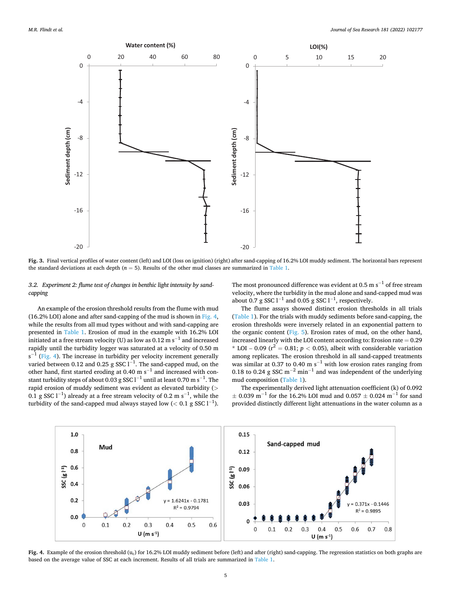<span id="page-4-0"></span>

**Fig. 3.** Final vertical profiles of water content (left) and LOI (loss on ignition) (right) after sand-capping of 16.2% LOI muddy sediment. The horizontal bars represent the standard deviations at each depth  $(n = 5)$ . Results of the other mud classes are summarized in [Table 1](#page-3-0).

*3.2. Experiment 2: flume test of changes in benthic light intensity by sandcapping* 

An example of the erosion threshold results from the flume with mud (16.2% LOI) alone and after sand-capping of the mud is shown in Fig. 4, while the results from all mud types without and with sand-capping are presented in [Table 1.](#page-3-0) Erosion of mud in the example with 16.2% LOI initiated at a free stream velocity (U) as low as 0.12 m s $^{-1}$  and increased rapidly until the turbidity logger was saturated at a velocity of 0.50 m  $s^{-1}$  (Fig. 4). The increase in turbidity per velocity increment generally varied between 0.12 and 0.25 g SSC  $1^{-1}$ . The sand-capped mud, on the other hand, first started eroding at 0.40 m  $s^{-1}$  and increased with constant turbidity steps of about 0.03 g SSC l $^{-1}$  until at least 0.70 m s $^{-1}$ . The rapid erosion of muddy sediment was evident as elevated turbidity (*>* 0.1 g SSC l<sup>-1</sup>) already at a free stream velocity of 0.2 m s<sup>-1</sup>, while the turbidity of the sand-capped mud always stayed low  $(< 0.1$  g SSC  $1^{-1}$ ).

The most pronounced difference was evident at 0.5 m  $s^{-1}$  of free stream velocity, where the turbidity in the mud alone and sand-capped mud was about 0.7 g SSC  $l^{-1}$  and 0.05 g SSC  $l^{-1}$ , respectively.

The flume assays showed distinct erosion thresholds in all trials ([Table 1\)](#page-3-0). For the trials with muddy sediments before sand-capping, the erosion thresholds were inversely related in an exponential pattern to the organic content [\(Fig. 5\)](#page-5-0). Erosion rates of mud, on the other hand, increased linearly with the LOI content according to: Erosion rate  $= 0.29$ \* LOI – 0.09 ( $r^2$  = 0.81;  $p < 0.05$ ), albeit with considerable variation among replicates. The erosion threshold in all sand-capped treatments was similar at 0.37 to 0.40 m  $s^{-1}$  with low erosion rates ranging from 0.18 to 0.24 g SSC  $m^{-2}$  min<sup>-1</sup> and was independent of the underlying mud composition [\(Table 1\)](#page-3-0).

The experimentally derived light attenuation coefficient (k) of 0.092  $\pm$  0.039 m<sup>-1</sup> for the 16.2% LOI mud and 0.057  $\pm$  0.024 m<sup>-1</sup> for sand provided distinctly different light attenuations in the water column as a



Fig. 4. Example of the erosion threshold (u<sub>c</sub>) for 16.2% LOI muddy sediment before (left) and after (right) sand-capping. The regression statistics on both graphs are based on the average value of SSC at each increment. Results of all trials are summarized in [Table 1.](#page-3-0)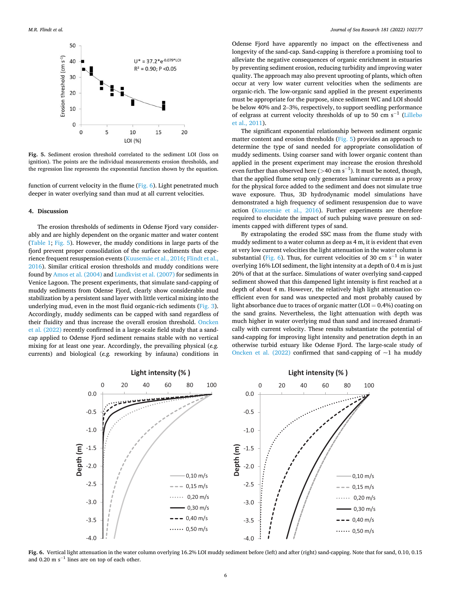<span id="page-5-0"></span>

**Fig. 5.** Sediment erosion threshold correlated to the sediment LOI (loss on ignition). The points are the individual measurements erosion thresholds, and the regression line represents the exponential function shown by the equation.

function of current velocity in the flume (Fig. 6). Light penetrated much deeper in water overlying sand than mud at all current velocities.

#### **4. Discussion**

The erosion thresholds of sediments in Odense Fjord vary considerably and are highly dependent on the organic matter and water content ([Table 1](#page-3-0); Fig. 5). However, the muddy conditions in large parts of the fjord prevent proper consolidation of the surface sediments that experience frequent resuspension events (Kuusemäe [et al., 2016;](#page-7-0) Flindt et al., [2016\)](#page-6-0). Similar critical erosion thresholds and muddy conditions were found by [Amos et al. \(2004\)](#page-6-0) and [Lundkvist et al. \(2007\)](#page-7-0) for sediments in Venice Lagoon. The present experiments, that simulate sand-capping of muddy sediments from Odense Fjord, clearly show considerable mud stabilization by a persistent sand layer with little vertical mixing into the underlying mud, even in the most fluid organic-rich sediments ([Fig. 3](#page-4-0)). Accordingly, muddy sediments can be capped with sand regardless of their fluidity and thus increase the overall erosion threshold. [Oncken](#page-7-0)  [et al. \(2022\)](#page-7-0) recently confirmed in a large-scale field study that a sandcap applied to Odense Fjord sediment remains stable with no vertical mixing for at least one year. Accordingly, the prevailing physical (*e.g.*  currents) and biological (*e.g.* reworking by infauna) conditions in

Odense Fjord have apparently no impact on the effectiveness and longevity of the sand-cap. Sand-capping is therefore a promising tool to alleviate the negative consequences of organic enrichment in estuaries by preventing sediment erosion, reducing turbidity and improving water quality. The approach may also prevent uprooting of plants, which often occur at very low water current velocities when the sediments are organic-rich. The low-organic sand applied in the present experiments must be appropriate for the purpose, since sediment WC and LOI should be below 40% and 2–3%, respectively, to support seedling performance of eelgrass at current velocity thresholds of up to 50 cm s<sup>-1</sup> ([Lilleb](#page-7-0)ø [et al., 2011\)](#page-7-0).

The significant exponential relationship between sediment organic matter content and erosion thresholds (Fig. 5) provides an approach to determine the type of sand needed for appropriate consolidation of muddy sediments. Using coarser sand with lower organic content than applied in the present experiment may increase the erosion threshold even further than observed here ( $>$ 40 cm s<sup>-1</sup>). It must be noted, though, that the applied flume setup only generates laminar currents as a proxy for the physical force added to the sediment and does not simulate true wave exposure. Thus, 3D hydrodynamic model simulations have demonstrated a high frequency of sediment resuspension due to wave action (Kuusemäe et al., 2016). Further experiments are therefore required to elucidate the impact of such pulsing wave pressure on sediments capped with different types of sand.

By extrapolating the eroded SSC mass from the flume study with muddy sediment to a water column as deep as 4 m, it is evident that even at very low current velocities the light attenuation in the water column is substantial (Fig. 6). Thus, for current velocities of 30 cm  $s^{-1}$  in water overlying 16% LOI sediment, the light intensity at a depth of 0.4 m is just 20% of that at the surface. Simulations of water overlying sand-capped sediment showed that this dampened light intensity is first reached at a depth of about 4 m. However, the relatively high light attenuation coefficient even for sand was unexpected and most probably caused by light absorbance due to traces of organic matter (LOI = 0.4%) coating on the sand grains. Nevertheless, the light attenuation with depth was much higher in water overlying mud than sand and increased dramatically with current velocity. These results substantiate the potential of sand-capping for improving light intensity and penetration depth in an otherwise turbid estuary like Odense Fjord. The large-scale study of [Oncken et al. \(2022\)](#page-7-0) confirmed that sand-capping of  $\sim$ 1 ha muddy



**Fig. 6.** Vertical light attenuation in the water column overlying 16.2% LOI muddy sediment before (left) and after (right) sand-capping. Note that for sand, 0.10, 0.15 and 0.20 m  $s^{-1}$  lines are on top of each other.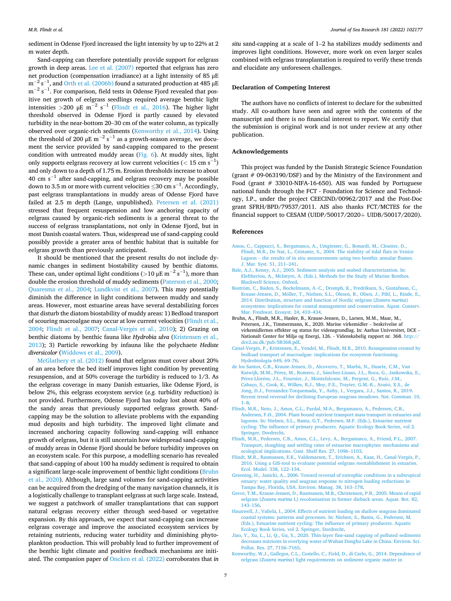<span id="page-6-0"></span>sediment in Odense Fjord increased the light intensity by up to 22% at 2 m water depth.

Sand-capping can therefore potentially provide support for eelgrass growth in deep areas. [Lee et al. \(2007\)](#page-7-0) reported that eelgrass has zero net production (compensation irradiance) at a light intensity of 85 μE  $m^{-2}$  $^{-1}$ , and [Orth et al. \(2006b\)](#page-7-0) found a saturated production at 485 μE  $m^{-2}$  s<sup>-1</sup>. For comparison, field tests in Odense Fjord revealed that positive net growth of eelgrass seedlings required average benthic light intensities >200  $\mu$ E m<sup>-2</sup> s<sup>-1</sup> (Flindt et al., 2016). The higher light threshold observed in Odense Fjord is partly caused by elevated turbidity in the near-bottom 20–30 cm of the water column, as typically observed over organic-rich sediments (Kenworthy et al., 2014). Using the threshold of 200 µE  $m^{-2}$  s<sup>-1</sup> as a growth-season average, we document the service provided by sand-capping compared to the present condition with untreated muddy areas [\(Fig. 6\)](#page-5-0). At muddy sites, light only supports eelgrass recovery at low current velocities  $(< 15 \text{ cm s}^{-1})$ and only down to a depth of 1.75 m. Erosion thresholds increase to about 40 cm  $s^{-1}$  after sand-capping, and eelgrass recovery may be possible down to 3.5 m or more with current velocities  $\leq$ 30 cm s $^{-1}$ . Accordingly, past eelgrass transplantations in muddy areas of Odense Fjord have failed at 2.5 m depth (Lange, unpublished). [Petersen et al. \(2021\)](#page-7-0)  stressed that frequent resuspension and low anchoring capacity of eelgrass caused by organic-rich sediments is a general threat to the success of eelgrass transplantations, not only in Odense Fjord, but in most Danish coastal waters. Thus, widespread use of sand-capping could possibly provide a greater area of benthic habitat that is suitable for eelgrass growth than previously anticipated.

It should be mentioned that the present results do not include dynamic changes in sediment biostability caused by benthic diatoms. These can, under optimal light conditions (>10  $\mu$ E m<sup>-2</sup> s<sup>-1</sup>), more than double the erosion threshold of muddy sediments ([Paterson et al., 2000](#page-7-0); [Quaresma et al., 2004;](#page-7-0) [Lundkvist et al., 2007](#page-7-0)). This may potentially diminish the difference in light conditions between muddy and sandy areas. However, most estuarine areas have several destabilizing forces that disturb the diatom biostability of muddy areas: 1) Bedload transport of scouring macroalgae may occur at low current velocities (Flindt et al., 2004; Flindt et al., 2007; Canal-Vergés et al., 2010); 2) Grazing on benthic diatoms by benthic fauna like *Hydrobia ulva* [\(Kristensen et al.,](#page-7-0)  [2013\)](#page-7-0); 3) Particle reworking by infauna like the polychaete *Hediste*  diversicolor [\(Widdows et al., 2009](#page-7-0)).

[McGlathery et al. \(2012\)](#page-7-0) found that eelgrass must cover about 20% of an area before the bed itself improves light condition by preventing resuspension, and at 50% coverage the turbidity is reduced to 1/3. As the eelgrass coverage in many Danish estuaries, like Odense Fjord, is below 2%, this eelgrass ecosystem service (*e.g.* turbidity reduction) is not provided. Furthermore, Odense Fjord has today lost about 40% of the sandy areas that previously supported eelgrass growth. Sandcapping may be the solution to alleviate problems with the expanding mud deposits and high turbidity. The improved light climate and increased anchoring capacity following sand-capping will enhance growth of eelgrass, but it is still uncertain how widespread sand-capping of muddy areas in Odense Fjord should be before turbidity improves on an ecosystem scale. For this purpose, a modelling scenario has revealed that sand-capping of about 100 ha muddy sediment is required to obtain a significant large-scale improvement of benthic light conditions (Bruhn et al., 2020). Although, large sand volumes for sand-capping activities can be acquired from the dredging of the many navigation channels, it is a logistically challenge to transplant eelgrass at such large scale. Instead, we suggest a patchwork of smaller transplantations that can support natural eelgrass recovery either through seed-based or vegetative expansion. By this approach, we expect that sand-capping can increase eelgrass coverage and improve the associated ecosystem services by retaining nutrients, reducing water turbidity and diminishing phytoplankton production. This will probably lead to further improvement of the benthic light climate and positive feedback mechanisms are initiated. The companion paper of [Oncken et al. \(2022\)](#page-7-0) corroborates that *in*  *situ* sand-capping at a scale of 1–2 ha stabilizes muddy sediments and improves light conditions. However, more work on even larger scales combined with eelgrass transplantation is required to verify these trends and elucidate any unforeseen challenges.

#### **Declaration of Competing Interest**

The authors have no conflicts of interest to declare for the submitted study. All co-authors have seen and agree with the contents of the manuscript and there is no financial interest to report. We certify that the submission is original work and is not under review at any other publication.

# **Acknowledgements**

This project was funded by the Danish Strategic Science Foundation (grant # 09-063190/DSF) and by the Ministry of the Environment and Food (grant # 33010-NIFA-16-650). AIS was funded by Portuguese national funds through the FCT - Foundation for Science and Technology, I.P., under the project CEECIND/00962/2017 and the Post-Doc grant SFRH/BPD/79537/2011. AIS also thanks FCT/MCTES for the financial support to CESAM (UIDP/50017/2020+ UIDB/50017/2020).

#### **References**

- [Amos, C., Cappucci, S., Bergamasco, A., Umgiesser, G., Bonardi, M., Cloutier, D.,](http://refhub.elsevier.com/S1385-1101(22)00015-6/rf0005) [Flindt, M.R., De Nat, L., Cristante, S., 2004. The stability of tidal flats in Venice](http://refhub.elsevier.com/S1385-1101(22)00015-6/rf0005) Lagoon – [the results of in situ measurements using two benthic annular flumes.](http://refhub.elsevier.com/S1385-1101(22)00015-6/rf0005)  [J. Mar. Syst. 51, 211](http://refhub.elsevier.com/S1385-1101(22)00015-6/rf0005)–241.
- [Bale, A.J., Kenny, A.J., 2005. Sediment analysis and seabed characterization. In:](http://refhub.elsevier.com/S1385-1101(22)00015-6/rf0010) [Eleftheriou, A., McIntyre, A. \(Eds.\), Methods for the Study of Marine Benthos.](http://refhub.elsevier.com/S1385-1101(22)00015-6/rf0010) [Blackwell Science, Oxford](http://refhub.elsevier.com/S1385-1101(22)00015-6/rf0010).
- Boström, C., Baden, S., Bockelmann, A.-C., Dromph, K., Fredriksen, S., Gustafsson, C. Krause-Jensen, D., Möller, T., Nielsen, S.L., Olesen, B., Olsen, J., Pihl, L., Rinde, E., [2014. Distribution, structure and function of Nordic eelgrass \(](http://refhub.elsevier.com/S1385-1101(22)00015-6/rf0015)*Zostera marina*) [ecosystems: implications for coastal management and conservation. Aquat. Conserv.](http://refhub.elsevier.com/S1385-1101(22)00015-6/rf0015)  [Mar. Freshwat. Ecosyst. 24, 410](http://refhub.elsevier.com/S1385-1101(22)00015-6/rf0015)–434.
- Bruhn, A., Flindt, M.R., Hasler, B., Krause-Jensen, D., Larsen, M.M., Maar, M., Petersen, J.K., Timmermann, K., 2020. Marine virkemidler – beskrivelse af virkemidlernes effekter og status for vidensgrundlag. In: Aarhus Universitet, DCE – Nationalt Center for Miljø og Energi, 126. - Videnskabelig rapport nr. 368. [http://](http://dce2.au.dk/pub/SR368.pdf) [dce2.au.dk/pub/SR368.pdf](http://dce2.au.dk/pub/SR368.pdf).
- Canal-Vergés, P., Kristensen, E., Vendel, M., Flindt, M.R., 2010. Resuspension created by [bedload transport of macroalgae: implications for ecosystem functioning.](http://refhub.elsevier.com/S1385-1101(22)00015-6/rf0025) [Hydrobiologia 649, 69](http://refhub.elsevier.com/S1385-1101(22)00015-6/rf0025)–76.
- [de los Santos, C.B., Krause-Jensen, D., Alcoverro, T., Marb](http://refhub.elsevier.com/S1385-1101(22)00015-6/rf0030)à, N., Duarte, C.M., Van Katwijk, M.M., Pérez, M., Romero, J., Sánchez-Lizaso, J.L., Roca, G., Jankowska, E., Pérez-Lloréns, J.L., Fournier, J., Montefalcone, M., Pergent, G., Ruiz, J.M., Cabaço, S., Cook, K., Wilkes, R.J., Moy, F.E., Trayter, G.M.-R., Arañó, X.S., de Jong, D.J., Fernández-Torquemada, Y., Auby, I., Vergara, J.J., Santos, R., 2019. [Recent trend reversal for declining European seagrass meadows. Nat. Commun. 10,](http://refhub.elsevier.com/S1385-1101(22)00015-6/rf0030)  1–[8.](http://refhub.elsevier.com/S1385-1101(22)00015-6/rf0030)
- [Flindt, M.R., Neto, J., Amos, C.L., Pardal, M.A., Bergamasco, A., Pedersen, C.B.,](http://refhub.elsevier.com/S1385-1101(22)00015-6/rf0035) Andersen, F.Ø[., 2004. Plant bound nutrient transport mass transport in estuaries and](http://refhub.elsevier.com/S1385-1101(22)00015-6/rf0035)  [lagoons. In: Nielsen, S.L., Banta, G.T., Pedersen, M.F. \(Eds.\), Estuarine nutrient](http://refhub.elsevier.com/S1385-1101(22)00015-6/rf0035)  [cycling: The influence of primary producers. Aquatic Ecology Book Series, vol 2.](http://refhub.elsevier.com/S1385-1101(22)00015-6/rf0035)  [Springer, Dordrecht.](http://refhub.elsevier.com/S1385-1101(22)00015-6/rf0035)
- [Flindt, M.R., Pedersen, C.B., Amos, C.L., Levy, A., Bergamasco, A., Friend, P.L., 2007.](http://refhub.elsevier.com/S1385-1101(22)00015-6/rf0040)  [Transport, sloughing and settling rates of estuarine macrophytes: mechanisms and](http://refhub.elsevier.com/S1385-1101(22)00015-6/rf0040) [ecological implications. Cont. Shelf Res. 27, 1096](http://refhub.elsevier.com/S1385-1101(22)00015-6/rf0040)–1103.
- [Flindt, M.R., Rasmussen, E.K., Valdemarsen, T., Erichsen, A., Kaas, H., Canal-Verg](http://refhub.elsevier.com/S1385-1101(22)00015-6/rf0045)és, P., [2016. Using a GIS-tool to evaluate potential eelgrass reestablishment in estuaries.](http://refhub.elsevier.com/S1385-1101(22)00015-6/rf0045)  [Ecol. Model. 338, 122](http://refhub.elsevier.com/S1385-1101(22)00015-6/rf0045)–134.
- [Greening, H., Janicki, A., 2006. Toward reversal of eutrophic conditions in a subtropical](http://refhub.elsevier.com/S1385-1101(22)00015-6/rf0050)  [estuary: water quality and seagrass response to nitrogen loading reductions in](http://refhub.elsevier.com/S1385-1101(22)00015-6/rf0050) [Tampa Bay, Florida, USA. Environ. Manag. 38, 163](http://refhub.elsevier.com/S1385-1101(22)00015-6/rf0050)–178.
- [Greve, T.M., Krause-Jensen, D., Rasmussen, M.B., Christensen, P.B., 2005. Means of rapid](http://refhub.elsevier.com/S1385-1101(22)00015-6/rf0055)  eelgrass (*Zostera marina* [L\) recolonisation in former dieback areas. Aquat. Bot. 82,](http://refhub.elsevier.com/S1385-1101(22)00015-6/rf0055)  143–[156](http://refhub.elsevier.com/S1385-1101(22)00015-6/rf0055).
- [Hauxwell, J., Valiela, I., 2004. Effects of nutrient loading on shallow seagrass dominated](http://refhub.elsevier.com/S1385-1101(22)00015-6/rf0060)  [coastal systems: patterns and processes. In: Nielsen, S., Banta, G., Pedersen, M.](http://refhub.elsevier.com/S1385-1101(22)00015-6/rf0060)  [\(Eds.\), Estuarine nutrient cycling: The influence of primary producers. Aquatic](http://refhub.elsevier.com/S1385-1101(22)00015-6/rf0060) [Ecology Book Series, vol 2. Springer, Dordrecht](http://refhub.elsevier.com/S1385-1101(22)00015-6/rf0060).
- [Jiao, Y., Xu, L., Li, Q., Gu, S., 2020. Thin-layer fine-sand capping of polluted sediments](http://refhub.elsevier.com/S1385-1101(22)00015-6/rf0065)  [decreases nutrients in overlying water of Wuhan Donghu Lake in China. Environ. Sci.](http://refhub.elsevier.com/S1385-1101(22)00015-6/rf0065)  [Pollut. Res. 27, 7156](http://refhub.elsevier.com/S1385-1101(22)00015-6/rf0065)–7165.
- [Kenworthy, W.J., Gallegos, C.L., Costello, C., Field, D., di Carlo, G., 2014. Dependence of](http://refhub.elsevier.com/S1385-1101(22)00015-6/rf0070)  eelgrass (*Zostera marina*[\) light requirements on sediment organic matter in](http://refhub.elsevier.com/S1385-1101(22)00015-6/rf0070)